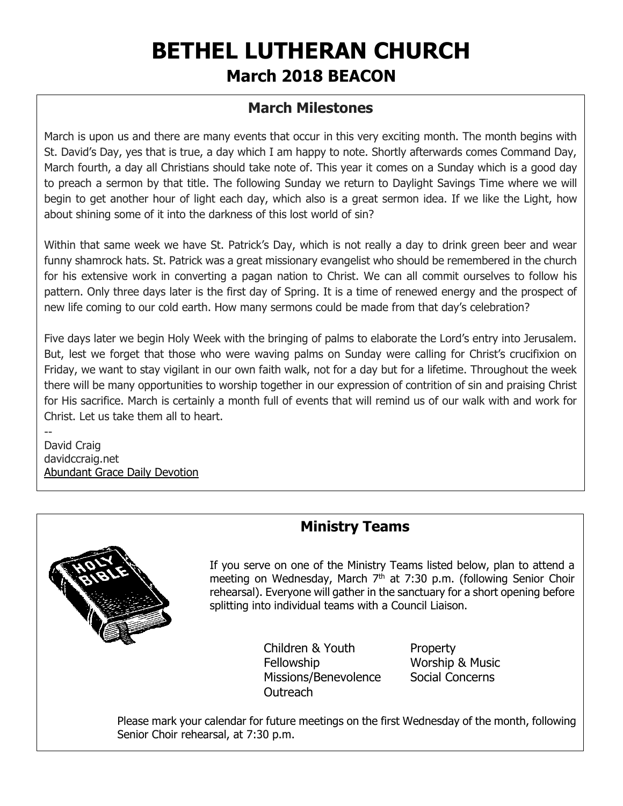# **BETHEL LUTHERAN CHURCH March 2018 BEACON**

## **March Milestones**

March is upon us and there are many events that occur in this very exciting month. The month begins with St. David's Day, yes that is true, a day which I am happy to note. Shortly afterwards comes Command Day, March fourth, a day all Christians should take note of. This year it comes on a Sunday which is a good day to preach a sermon by that title. The following Sunday we return to Daylight Savings Time where we will begin to get another hour of light each day, which also is a great sermon idea. If we like the Light, how about shining some of it into the darkness of this lost world of sin?

Within that same week we have St. Patrick's Day, which is not really a day to drink green beer and wear funny shamrock hats. St. Patrick was a great missionary evangelist who should be remembered in the church for his extensive work in converting a pagan nation to Christ. We can all commit ourselves to follow his pattern. Only three days later is the first day of Spring. It is a time of renewed energy and the prospect of new life coming to our cold earth. How many sermons could be made from that day's celebration?

Five days later we begin Holy Week with the bringing of palms to elaborate the Lord's entry into Jerusalem. But, lest we forget that those who were waving palms on Sunday were calling for Christ's crucifixion on Friday, we want to stay vigilant in our own faith walk, not for a day but for a lifetime. Throughout the week there will be many opportunities to worship together in our expression of contrition of sin and praising Christ for His sacrifice. March is certainly a month full of events that will remind us of our walk with and work for Christ. Let us take them all to heart.

-- David Craig davidccraig.net [Abundant Grace Daily Devotion](http://adoringgrace.blogspot.com/)



# **Ministry Teams**

If you serve on one of the Ministry Teams listed below, plan to attend a meeting on Wednesday, March  $7<sup>th</sup>$  at 7:30 p.m. (following Senior Choir rehearsal). Everyone will gather in the sanctuary for a short opening before splitting into individual teams with a Council Liaison.

> Children & Youth Property Fellowship Worship & Music Missions/Benevolence Social Concerns Outreach

Please mark your calendar for future meetings on the first Wednesday of the month, following Senior Choir rehearsal, at 7:30 p.m.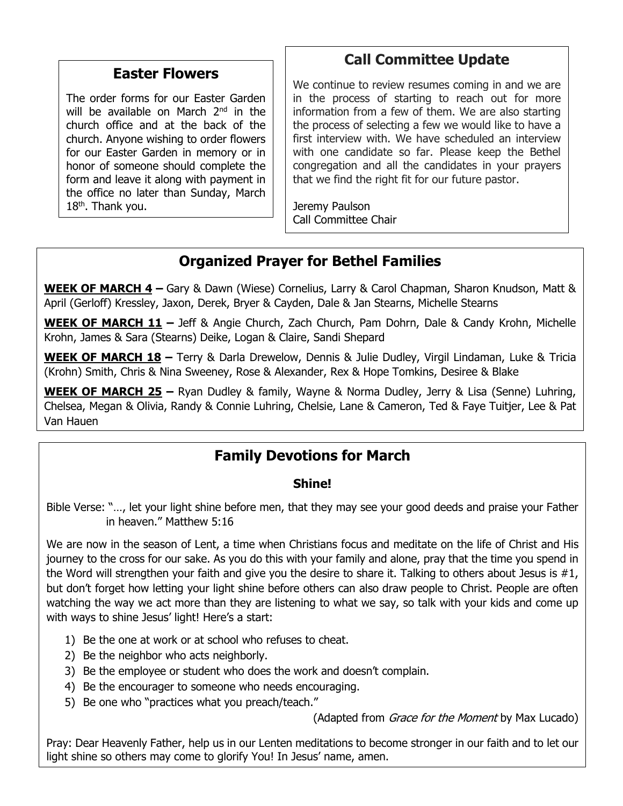#### **Easter Flowers**

The order forms for our Easter Garden will be available on March 2<sup>nd</sup> in the church office and at the back of the church. Anyone wishing to order flowers for our Easter Garden in memory or in honor of someone should complete the form and leave it along with payment in the office no later than Sunday, March  $18<sup>th</sup>$ . Thank you.

## **Call Committee Update**

We continue to review resumes coming in and we are in the process of starting to reach out for more information from a few of them. We are also starting the process of selecting a few we would like to have a first interview with. We have scheduled an interview with one candidate so far. Please keep the Bethel congregation and all the candidates in your prayers that we find the right fit for our future pastor.

Jeremy Paulson Call Committee Chair

## **Organized Prayer for Bethel Families**

**WEEK OF MARCH 4 –** Gary & Dawn (Wiese) Cornelius, Larry & Carol Chapman, Sharon Knudson, Matt & April (Gerloff) Kressley, Jaxon, Derek, Bryer & Cayden, Dale & Jan Stearns, Michelle Stearns

**WEEK OF MARCH 11 –** Jeff & Angie Church, Zach Church, Pam Dohrn, Dale & Candy Krohn, Michelle Krohn, James & Sara (Stearns) Deike, Logan & Claire, Sandi Shepard

**WEEK OF MARCH 18 –** Terry & Darla Drewelow, Dennis & Julie Dudley, Virgil Lindaman, Luke & Tricia (Krohn) Smith, Chris & Nina Sweeney, Rose & Alexander, Rex & Hope Tomkins, Desiree & Blake

**WEEK OF MARCH 25 –** Ryan Dudley & family, Wayne & Norma Dudley, Jerry & Lisa (Senne) Luhring, Chelsea, Megan & Olivia, Randy & Connie Luhring, Chelsie, Lane & Cameron, Ted & Faye Tuitjer, Lee & Pat Van Hauen

## **Family Devotions for March**

#### **Shine!**

Bible Verse: "…, let your light shine before men, that they may see your good deeds and praise your Father in heaven." Matthew 5:16

We are now in the season of Lent, a time when Christians focus and meditate on the life of Christ and His journey to the cross for our sake. As you do this with your family and alone, pray that the time you spend in the Word will strengthen your faith and give you the desire to share it. Talking to others about Jesus is #1, but don't forget how letting your light shine before others can also draw people to Christ. People are often watching the way we act more than they are listening to what we say, so talk with your kids and come up with ways to shine Jesus' light! Here's a start:

- 1) Be the one at work or at school who refuses to cheat.
- 2) Be the neighbor who acts neighborly.
- 3) Be the employee or student who does the work and doesn't complain.
- 4) Be the encourager to someone who needs encouraging.
- 5) Be one who "practices what you preach/teach."

(Adapted from *Grace for the Moment* by Max Lucado)

Pray: Dear Heavenly Father, help us in our Lenten meditations to become stronger in our faith and to let our light shine so others may come to glorify You! In Jesus' name, amen.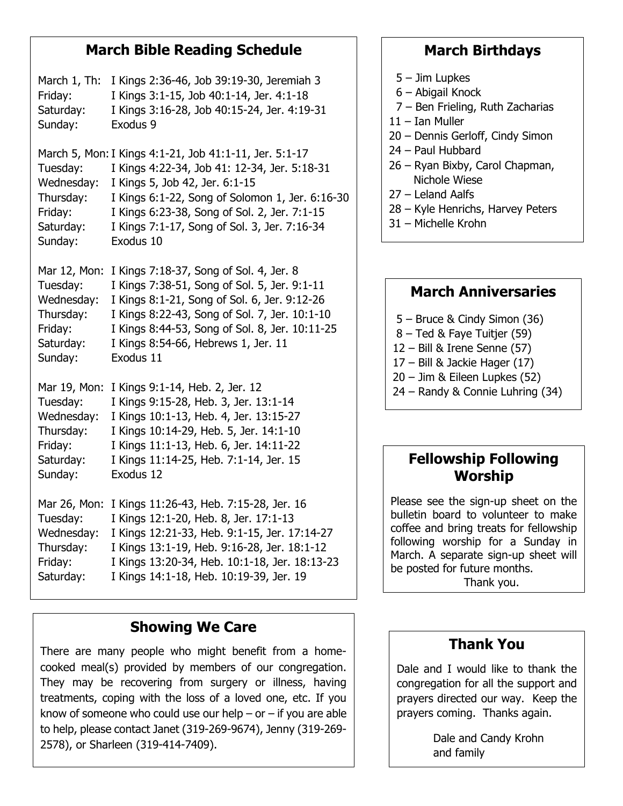## **March Bible Reading Schedule**

March 1, Th: I Kings 2:36-46, Job 39:19-30, Jeremiah 3 Friday: I Kings 3:1-15, Job 40:1-14, Jer. 4:1-18 Saturday: I Kings 3:16-28, Job 40:15-24, Jer. 4:19-31 Sunday: Exodus 9 March 5, Mon:I Kings 4:1-21, Job 41:1-11, Jer. 5:1-17 Tuesday: I Kings 4:22-34, Job 41: 12-34, Jer. 5:18-31 Wednesday: I Kings 5, Job 42, Jer. 6:1-15 Thursday: I Kings 6:1-22, Song of Solomon 1, Jer. 6:16-30 Friday: I Kings 6:23-38, Song of Sol. 2, Jer. 7:1-15 Saturday: I Kings 7:1-17, Song of Sol. 3, Jer. 7:16-34 Sunday: Exodus 10 Mar 12, Mon: I Kings 7:18-37, Song of Sol. 4, Jer. 8 Tuesday: I Kings 7:38-51, Song of Sol. 5, Jer. 9:1-11 Wednesday: I Kings 8:1-21, Song of Sol. 6, Jer. 9:12-26 Thursday: I Kings 8:22-43, Song of Sol. 7, Jer. 10:1-10 Friday: I Kings 8:44-53, Song of Sol. 8, Jer. 10:11-25 Saturday: I Kings 8:54-66, Hebrews 1, Jer. 11 Sunday: Exodus 11 Mar 19, Mon: I Kings 9:1-14, Heb. 2, Jer. 12 Tuesday: I Kings 9:15-28, Heb. 3, Jer. 13:1-14 Wednesday: I Kings 10:1-13, Heb. 4, Jer. 13:15-27 Thursday: I Kings 10:14-29, Heb. 5, Jer. 14:1-10 Friday: I Kings 11:1-13, Heb. 6, Jer. 14:11-22 Saturday: I Kings 11:14-25, Heb. 7:1-14, Jer. 15 Sunday: Exodus 12 Mar 26, Mon: I Kings 11:26-43, Heb. 7:15-28, Jer. 16 Tuesday: I Kings 12:1-20, Heb. 8, Jer. 17:1-13 Wednesday: I Kings 12:21-33, Heb. 9:1-15, Jer. 17:14-27 Thursday: I Kings 13:1-19, Heb. 9:16-28, Jer. 18:1-12 Friday: I Kings 13:20-34, Heb. 10:1-18, Jer. 18:13-23 Saturday: I Kings 14:1-18, Heb. 10:19-39, Jer. 19

## **Showing We Care**

There are many people who might benefit from a homecooked meal(s) provided by members of our congregation. They may be recovering from surgery or illness, having treatments, coping with the loss of a loved one, etc. If you know of someone who could use our help – or – if you are able to help, please contact Janet (319-269-9674), Jenny (319-269- 2578), or Sharleen (319-414-7409).

## **March Birthdays**

- 5 Jim Lupkes
- 6 Abigail Knock
- 7 Ben Frieling, Ruth Zacharias
- 11 Ian Muller
- 20 Dennis Gerloff, Cindy Simon
- 24 Paul Hubbard
- 26 Ryan Bixby, Carol Chapman, Nichole Wiese
- 27 Leland Aalfs
- 28 Kyle Henrichs, Harvey Peters
- 31 Michelle Krohn

## **March Anniversaries**

- 5 Bruce & Cindy Simon (36)
- 8 Ted & Faye Tuitjer (59)
- 12 Bill & Irene Senne (57)
- 17 Bill & Jackie Hager (17)
- 20 Jim & Eileen Lupkes (52)
- 24 Randy & Connie Luhring (34)

#### **Fellowship Following Worship**

Please see the sign-up sheet on the bulletin board to volunteer to make coffee and bring treats for fellowship following worship for a Sunday in March. A separate sign-up sheet will be posted for future months. Thank you.

## **Thank You**

Dale and I would like to thank the congregation for all the support and prayers directed our way. Keep the prayers coming. Thanks again.

> Dale and Candy Krohn and family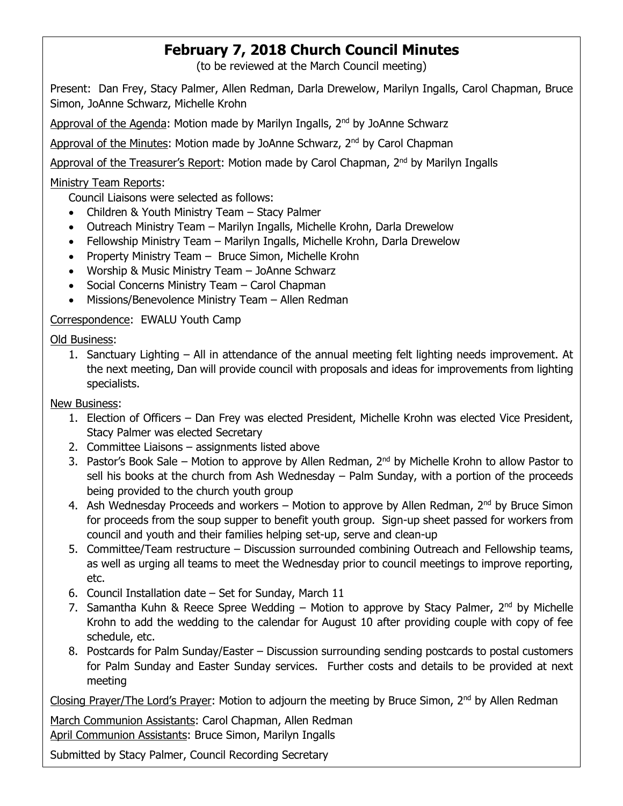# **February 7, 2018 Church Council Minutes**

(to be reviewed at the March Council meeting)

Present: Dan Frey, Stacy Palmer, Allen Redman, Darla Drewelow, Marilyn Ingalls, Carol Chapman, Bruce Simon, JoAnne Schwarz, Michelle Krohn

Approval of the Agenda: Motion made by Marilyn Ingalls, 2<sup>nd</sup> by JoAnne Schwarz

Approval of the Minutes: Motion made by JoAnne Schwarz,  $2<sup>nd</sup>$  by Carol Chapman

Approval of the Treasurer's Report: Motion made by Carol Chapman, 2<sup>nd</sup> by Marilyn Ingalls

#### Ministry Team Reports:

Council Liaisons were selected as follows:

- Children & Youth Ministry Team Stacy Palmer
- Outreach Ministry Team Marilyn Ingalls, Michelle Krohn, Darla Drewelow
- Fellowship Ministry Team Marilyn Ingalls, Michelle Krohn, Darla Drewelow
- Property Ministry Team Bruce Simon, Michelle Krohn
- Worship & Music Ministry Team JoAnne Schwarz
- Social Concerns Ministry Team Carol Chapman
- Missions/Benevolence Ministry Team Allen Redman

#### Correspondence: EWALU Youth Camp

#### Old Business:

1. Sanctuary Lighting – All in attendance of the annual meeting felt lighting needs improvement. At the next meeting, Dan will provide council with proposals and ideas for improvements from lighting specialists.

#### New Business:

- 1. Election of Officers Dan Frey was elected President, Michelle Krohn was elected Vice President, Stacy Palmer was elected Secretary
- 2. Committee Liaisons assignments listed above
- 3. Pastor's Book Sale Motion to approve by Allen Redman,  $2^{nd}$  by Michelle Krohn to allow Pastor to sell his books at the church from Ash Wednesday – Palm Sunday, with a portion of the proceeds being provided to the church youth group
- 4. Ash Wednesday Proceeds and workers Motion to approve by Allen Redman,  $2^{nd}$  by Bruce Simon for proceeds from the soup supper to benefit youth group. Sign-up sheet passed for workers from council and youth and their families helping set-up, serve and clean-up
- 5. Committee/Team restructure Discussion surrounded combining Outreach and Fellowship teams, as well as urging all teams to meet the Wednesday prior to council meetings to improve reporting, etc.
- 6. Council Installation date Set for Sunday, March 11
- 7. Samantha Kuhn & Reece Spree Wedding Motion to approve by Stacy Palmer, 2<sup>nd</sup> by Michelle Krohn to add the wedding to the calendar for August 10 after providing couple with copy of fee schedule, etc.
- 8. Postcards for Palm Sunday/Easter Discussion surrounding sending postcards to postal customers for Palm Sunday and Easter Sunday services. Further costs and details to be provided at next meeting

Closing Prayer/The Lord's Prayer: Motion to adjourn the meeting by Bruce Simon, 2<sup>nd</sup> by Allen Redman

March Communion Assistants: Carol Chapman, Allen Redman April Communion Assistants: Bruce Simon, Marilyn Ingalls

Submitted by Stacy Palmer, Council Recording Secretary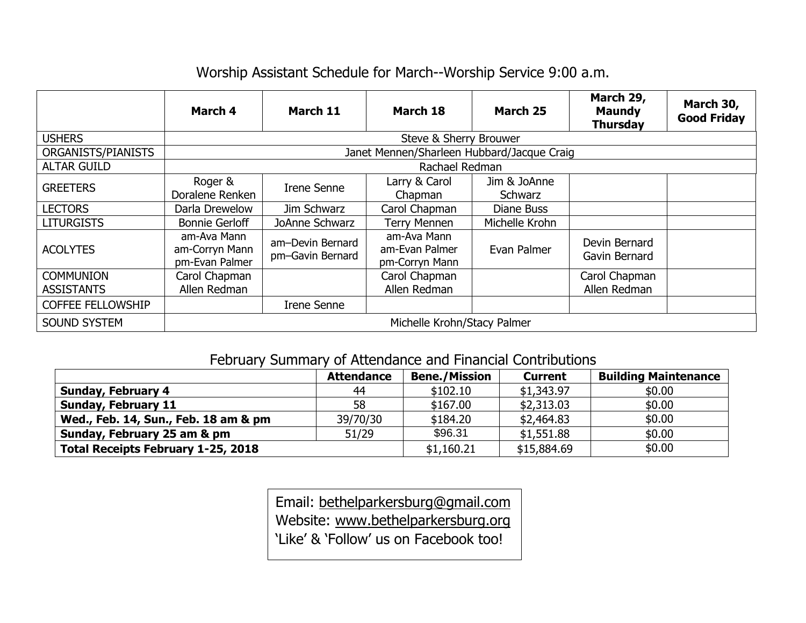# Worship Assistant Schedule for March--Worship Service 9:00 a.m.

|                                       | March 4                                         | March 11                             | March 18                                        | March 25                | March 29,<br><b>Maundy</b><br><b>Thursday</b> | March 30,<br><b>Good Friday</b> |  |  |  |
|---------------------------------------|-------------------------------------------------|--------------------------------------|-------------------------------------------------|-------------------------|-----------------------------------------------|---------------------------------|--|--|--|
| <b>USHERS</b>                         | Steve & Sherry Brouwer                          |                                      |                                                 |                         |                                               |                                 |  |  |  |
| ORGANISTS/PIANISTS                    | Janet Mennen/Sharleen Hubbard/Jacque Craig      |                                      |                                                 |                         |                                               |                                 |  |  |  |
| <b>ALTAR GUILD</b>                    | Rachael Redman                                  |                                      |                                                 |                         |                                               |                                 |  |  |  |
| <b>GREETERS</b>                       | Roger &<br>Doralene Renken                      | <b>Irene Senne</b>                   | Larry & Carol<br>Chapman                        | Jim & JoAnne<br>Schwarz |                                               |                                 |  |  |  |
| <b>LECTORS</b>                        | Darla Drewelow                                  | Jim Schwarz                          | Carol Chapman                                   | Diane Buss              |                                               |                                 |  |  |  |
| <b>LITURGISTS</b>                     | <b>Bonnie Gerloff</b>                           | JoAnne Schwarz                       | <b>Terry Mennen</b>                             | Michelle Krohn          |                                               |                                 |  |  |  |
| <b>ACOLYTES</b>                       | am-Ava Mann<br>am-Corryn Mann<br>pm-Evan Palmer | am-Devin Bernard<br>pm-Gavin Bernard | am-Ava Mann<br>am-Evan Palmer<br>pm-Corryn Mann | Evan Palmer             | Devin Bernard<br>Gavin Bernard                |                                 |  |  |  |
| <b>COMMUNION</b><br><b>ASSISTANTS</b> | Carol Chapman<br>Allen Redman                   |                                      | Carol Chapman<br>Allen Redman                   |                         | Carol Chapman<br>Allen Redman                 |                                 |  |  |  |
| <b>COFFEE FELLOWSHIP</b>              |                                                 | <b>Irene Senne</b>                   |                                                 |                         |                                               |                                 |  |  |  |
| <b>SOUND SYSTEM</b>                   | Michelle Krohn/Stacy Palmer                     |                                      |                                                 |                         |                                               |                                 |  |  |  |

# February Summary of Attendance and Financial Contributions

|                                           | <b>Attendance</b> | <b>Bene./Mission</b> | <b>Current</b> | <b>Building Maintenance</b> |
|-------------------------------------------|-------------------|----------------------|----------------|-----------------------------|
| <b>Sunday, February 4</b>                 | 44                | \$102.10             | \$1,343.97     | \$0.00                      |
| <b>Sunday, February 11</b>                | 58                | \$167.00             | \$2,313.03     | \$0.00                      |
| Wed., Feb. 14, Sun., Feb. 18 am & pm      | 39/70/30          | \$184.20             | \$2,464.83     | \$0.00                      |
| Sunday, February 25 am & pm               | 51/29             | \$96.31              | \$1,551.88     | \$0.00                      |
| <b>Total Receipts February 1-25, 2018</b> |                   | \$1,160.21           | \$15,884.69    | \$0.00                      |

Email: [bethelparkersburg@gmail.com](mailto:bethelparkersburg@gmail.com) Website: [www.bethelparkersburg.org](http://www.bethelparkersburg.org/) 'Like' & 'Follow' us on Facebook too!